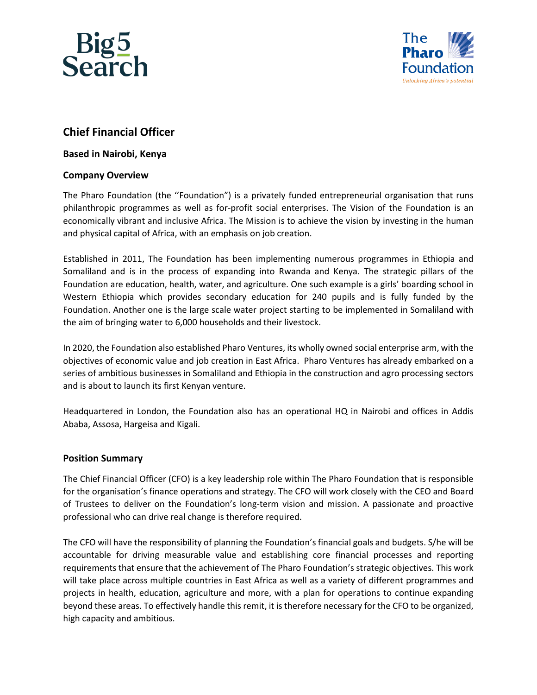



# **Chief Financial Officer**

# **Based in Nairobi, Kenya**

# **Company Overview**

The Pharo Foundation (the ''Foundation") is a privately funded entrepreneurial organisation that runs philanthropic programmes as well as for-profit social enterprises. The Vision of the Foundation is an economically vibrant and inclusive Africa. The Mission is to achieve the vision by investing in the human and physical capital of Africa, with an emphasis on job creation.

Established in 2011, The Foundation has been implementing numerous programmes in Ethiopia and Somaliland and is in the process of expanding into Rwanda and Kenya. The strategic pillars of the Foundation are education, health, water, and agriculture. One such example is a girls' boarding school in Western Ethiopia which provides secondary education for 240 pupils and is fully funded by the Foundation. Another one is the large scale water project starting to be implemented in Somaliland with the aim of bringing water to 6,000 households and their livestock.

In 2020, the Foundation also established Pharo Ventures, its wholly owned social enterprise arm, with the objectives of economic value and job creation in East Africa. Pharo Ventures has already embarked on a series of ambitious businesses in Somaliland and Ethiopia in the construction and agro processing sectors and is about to launch its first Kenyan venture.

Headquartered in London, the Foundation also has an operational HQ in Nairobi and offices in Addis Ababa, Assosa, Hargeisa and Kigali.

#### **Position Summary**

The Chief Financial Officer (CFO) is a key leadership role within The Pharo Foundation that is responsible for the organisation's finance operations and strategy. The CFO will work closely with the CEO and Board of Trustees to deliver on the Foundation's long-term vision and mission. A passionate and proactive professional who can drive real change is therefore required.

The CFO will have the responsibility of planning the Foundation's financial goals and budgets. S/he will be accountable for driving measurable value and establishing core financial processes and reporting requirements that ensure that the achievement of The Pharo Foundation's strategic objectives. This work will take place across multiple countries in East Africa as well as a variety of different programmes and projects in health, education, agriculture and more, with a plan for operations to continue expanding beyond these areas. To effectively handle this remit, it is therefore necessary for the CFO to be organized, high capacity and ambitious.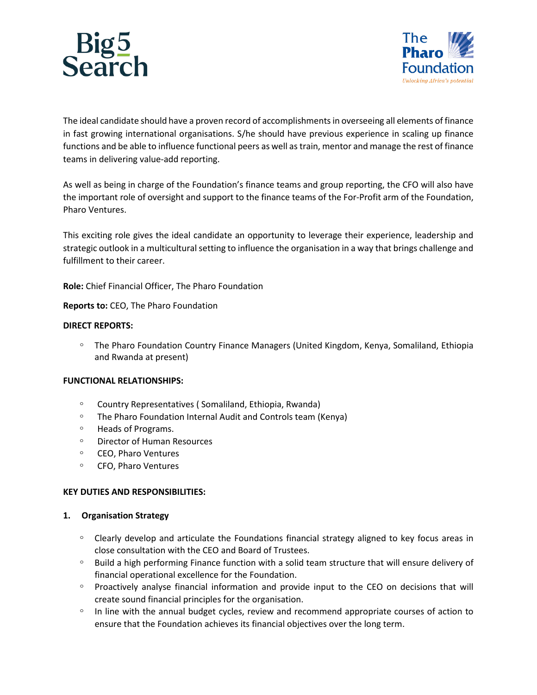



The ideal candidate should have a proven record of accomplishments in overseeing all elements of finance in fast growing international organisations. S/he should have previous experience in scaling up finance functions and be able to influence functional peers as well as train, mentor and manage the rest of finance teams in delivering value-add reporting.

As well as being in charge of the Foundation's finance teams and group reporting, the CFO will also have the important role of oversight and support to the finance teams of the For-Profit arm of the Foundation, Pharo Ventures.

This exciting role gives the ideal candidate an opportunity to leverage their experience, leadership and strategic outlook in a multicultural setting to influence the organisation in a way that brings challenge and fulfillment to their career.

**Role:** Chief Financial Officer, The Pharo Foundation

**Reports to:** CEO, The Pharo Foundation

#### **DIRECT REPORTS:**

ͦ The Pharo Foundation Country Finance Managers (United Kingdom, Kenya, Somaliland, Ethiopia and Rwanda at present)

#### **FUNCTIONAL RELATIONSHIPS:**

- ͦ Country Representatives ( Somaliland, Ethiopia, Rwanda)
- The Pharo Foundation Internal Audit and Controls team (Kenya)
- ͦ Heads of Programs.
- ͦ Director of Human Resources
- ͦ CEO, Pharo Ventures
- ͦ CFO, Pharo Ventures

#### **KEY DUTIES AND RESPONSIBILITIES:**

#### **1. Organisation Strategy**

- ͦ Clearly develop and articulate the Foundations financial strategy aligned to key focus areas in close consultation with the CEO and Board of Trustees.
- ͦ Build a high performing Finance function with a solid team structure that will ensure delivery of financial operational excellence for the Foundation.
- ͦ Proactively analyse financial information and provide input to the CEO on decisions that will create sound financial principles for the organisation.
- In line with the annual budget cycles, review and recommend appropriate courses of action to ensure that the Foundation achieves its financial objectives over the long term.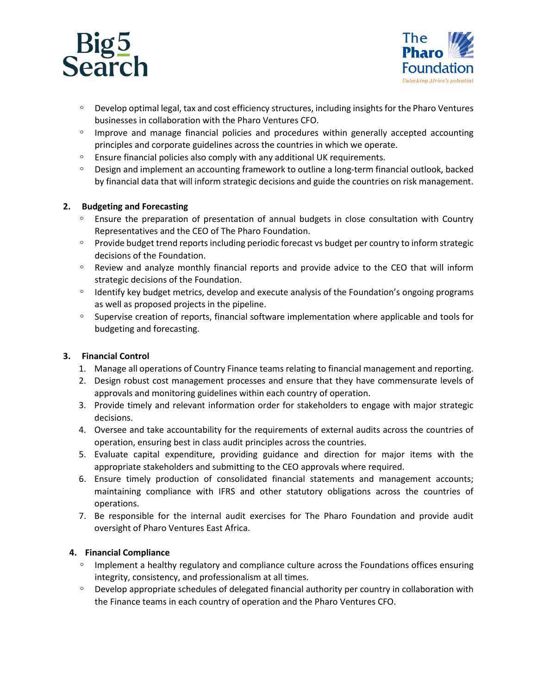



- ͦ Develop optimal legal, tax and cost efficiency structures, including insights for the Pharo Ventures businesses in collaboration with the Pharo Ventures CFO.
- ͦ Improve and manage financial policies and procedures within generally accepted accounting principles and corporate guidelines across the countries in which we operate.
- ͦ Ensure financial policies also comply with any additional UK requirements.
- ͦ Design and implement an accounting framework to outline a long-term financial outlook, backed by financial data that will inform strategic decisions and guide the countries on risk management.

# **2. Budgeting and Forecasting**

- Ensure the preparation of presentation of annual budgets in close consultation with Country Representatives and the CEO of The Pharo Foundation.
- ͦ Provide budget trend reports including periodic forecast vs budget per country to inform strategic decisions of the Foundation.
- ͦ Review and analyze monthly financial reports and provide advice to the CEO that will inform strategic decisions of the Foundation.
- ͦ Identify key budget metrics, develop and execute analysis of the Foundation's ongoing programs as well as proposed projects in the pipeline.
- ͦ Supervise creation of reports, financial software implementation where applicable and tools for budgeting and forecasting.

# **3. Financial Control**

- 1. Manage all operations of Country Finance teams relating to financial management and reporting.
- 2. Design robust cost management processes and ensure that they have commensurate levels of approvals and monitoring guidelines within each country of operation.
- 3. Provide timely and relevant information order for stakeholders to engage with major strategic decisions.
- 4. Oversee and take accountability for the requirements of external audits across the countries of operation, ensuring best in class audit principles across the countries.
- 5. Evaluate capital expenditure, providing guidance and direction for major items with the appropriate stakeholders and submitting to the CEO approvals where required.
- 6. Ensure timely production of consolidated financial statements and management accounts; maintaining compliance with IFRS and other statutory obligations across the countries of operations.
- 7. Be responsible for the internal audit exercises for The Pharo Foundation and provide audit oversight of Pharo Ventures East Africa.

# **4. Financial Compliance**

- ͦ Implement a healthy regulatory and compliance culture across the Foundations offices ensuring integrity, consistency, and professionalism at all times.
- Develop appropriate schedules of delegated financial authority per country in collaboration with the Finance teams in each country of operation and the Pharo Ventures CFO.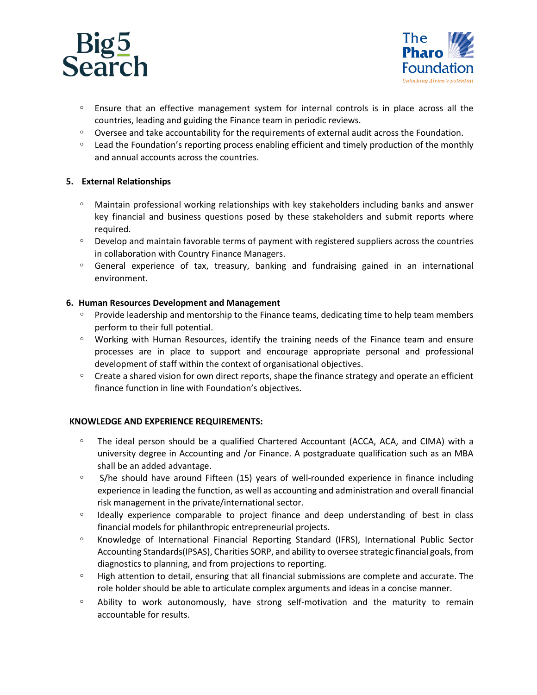



- ͦ Ensure that an effective management system for internal controls is in place across all the countries, leading and guiding the Finance team in periodic reviews.
- Oversee and take accountability for the requirements of external audit across the Foundation.
- ͦ Lead the Foundation's reporting process enabling efficient and timely production of the monthly and annual accounts across the countries.

# **5. External Relationships**

- ͦ Maintain professional working relationships with key stakeholders including banks and answer key financial and business questions posed by these stakeholders and submit reports where required.
- ͦ Develop and maintain favorable terms of payment with registered suppliers across the countries in collaboration with Country Finance Managers.
- ͦ General experience of tax, treasury, banking and fundraising gained in an international environment.

# **6. Human Resources Development and Management**

- ͦ Provide leadership and mentorship to the Finance teams, dedicating time to help team members perform to their full potential.
- ͦ Working with Human Resources, identify the training needs of the Finance team and ensure processes are in place to support and encourage appropriate personal and professional development of staff within the context of organisational objectives.
- ͦ Create a shared vision for own direct reports, shape the finance strategy and operate an efficient finance function in line with Foundation's objectives.

# **KNOWLEDGE AND EXPERIENCE REQUIREMENTS:**

- ͦ The ideal person should be a qualified Chartered Accountant (ACCA, ACA, and CIMA) with a university degree in Accounting and /or Finance. A postgraduate qualification such as an MBA shall be an added advantage.
- ͦ S/he should have around Fifteen (15) years of well-rounded experience in finance including experience in leading the function, as well as accounting and administration and overall financial risk management in the private/international sector.
- ͦ Ideally experience comparable to project finance and deep understanding of best in class financial models for philanthropic entrepreneurial projects.
- ͦ Knowledge of International Financial Reporting Standard (IFRS), International Public Sector Accounting Standards(IPSAS), Charities SORP, and ability to oversee strategic financial goals, from diagnostics to planning, and from projections to reporting.
- ͦ High attention to detail, ensuring that all financial submissions are complete and accurate. The role holder should be able to articulate complex arguments and ideas in a concise manner.
- ͦ Ability to work autonomously, have strong self-motivation and the maturity to remain accountable for results.